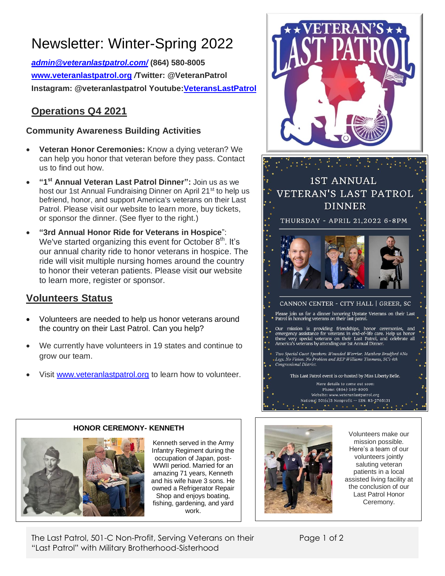# Newsletter: Winter-Spring 2022

*[admin@veteranlastpatrol.com/](mailto:admin@veteranlastpatrol.com/)* **(864) 580-8005 [www.veteranlastpatrol.org](http://www.veteranlastpatrol.org/)** */***Twitter: @VeteranPatrol Instagram: @veteranlastpatrol Youtube[:VeteransLastPatrol](https://www.youtube.com/channel/UCBMZ2eQqqR-p3FQlPslKyYg/featured)**

# **Operations Q4 2021**

### **Community Awareness Building Activities**

- **Veteran Honor Ceremonies:** Know a dying veteran? We can help you honor that veteran before they pass. Contact us to find out how.
- **"1 st Annual Veteran Last Patrol Dinner":** Join us as we host our 1st Annual Fundraising Dinner on April 21<sup>st</sup> to help us befriend, honor, and support America's veterans on their Last Patrol. Please visit our website to learn more, buy tickets, or sponsor the dinner. (See flyer to the right.)
- **"3rd Annual Honor Ride for Veterans in Hospice**": We've started organizing this event for October  $8<sup>th</sup>$ . It's our annual charity ride to honor veterans in hospice. The ride will visit multiple nursing homes around the country to honor their veteran patients. Please visit [our](http://www.veteranlastpatrol.org/) website to learn more, register or sponsor.

# **Volunteers Status**

- Volunteers are needed to help us honor veterans around the country on their Last Patrol. Can you help?
- We currently have volunteers in 19 states and continue to grow our team.
- Visit [www.veteranlastpatrol.org](http://www.veteranlastpatrol.org/) to learn how to volunteer. **3**

**HONOR CEREMONY- KENNETH**



**1ST ANNUAL** VETERAN'S LAST PATROL **DINNER** THURSDAY - APRIL 21,2022 6-8PM CANNON CENTER - CITY HALL | GREER, SC Please join us for a dinner honoring Upstate Veterans on their Last<br>Patrol in honoring veterans on their last patrol. Our mission is providing friendships, honor ceremonies, and emergency assistance for veterans in end-of-life care. Help us honor these very special veterans on their Last Patrol, and celebrate all America's veterans by att Two Special Guest Speakers: Wounded Warrior, Matthew Bradford #No Legs. No Vision. No Problem and REP Williams Timmons, SC's 4th Congressional District. This Last Patrol event is co-hosted by Miss Liberty Belle. More details to come out soon:

> Phone: (864) 580-8005<br>Website: www.veteranlastpatrol.org Mational 501(c)3 Nonprofit -- EIN: 83-2765131

Kenneth served in the Army Infantry Regiment during the occupation of Japan, post-WWII period. Married for an amazing 71 years, Kenneth and his wife have 3 sons. He owned a Refrigerator Repair Shop and enjoys boating, fishing, gardening, and yard work.



Volunteers make our mission possible. Here's a team of our volunteers jointly saluting veteran patients in a local assisted living facility at the conclusion of our Last Patrol Honor Ceremony.

The Last Patrol, 501-C Non-Profit, Serving Veterans on their "Last Patrol" with Military Brotherhood-Sisterhood

Page 1 of 2